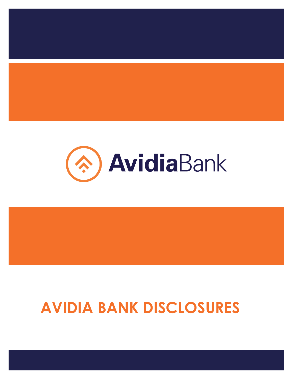

# **AVIDIA BANK DISCLOSURES**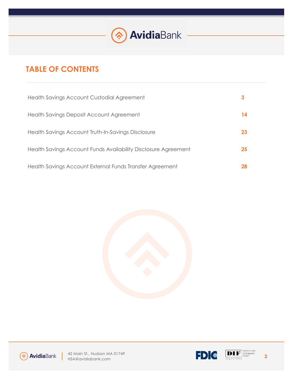

# **TABLE OF CONTENTS**

| Health Savings Account Custodial Agreement                     |    |
|----------------------------------------------------------------|----|
| Health Savings Deposit Account Agreement                       | 14 |
| Health Savings Account Truth-In-Savings Disclosure             | 23 |
| Health Savings Account Funds Availability Disclosure Agreement | 25 |
| Health Savings Account External Funds Transfer Agreement       |    |







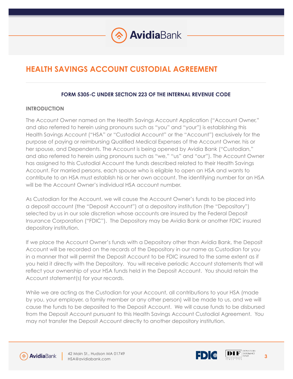

# **HEALTH SAVINGS ACCOUNT CUSTODIAL AGREEMENT**

### **FORM 5305-C UNDER SECTION 223 OF THE INTERNAL REVENUE CODE**

### **INTRODUCTION**

The Account Owner named on the Health Savings Account Application ("Account Owner," and also referred to herein using pronouns such as "you" and "your") is establishing this Health Savings Account ("HSA" or "Custodial Account" or the "Account") exclusively for the purpose of paying or reimbursing Qualified Medical Expenses of the Account Owner, his or her spouse, and Dependents. The Account is being opened by Avidia Bank ("Custodian," and also referred to herein using pronouns such as "we," "us" and "our"). The Account Owner has assigned to this Custodial Account the funds described related to their Health Savings Account. For married persons, each spouse who is eligible to open an HSA and wants to contribute to an HSA must establish his or her own account. The identifying number for an HSA will be the Account Owner's individual HSA account number.

As Custodian for the Account, we will cause the Account Owner's funds to be placed into a deposit account (the "Deposit Account") at a depository institution (the "Depository") selected by us in our sole discretion whose accounts are insured by the Federal Deposit Insurance Corporation ("FDIC"). The Depository may be Avidia Bank or another FDIC insured depository institution.

If we place the Account Owner's funds with a Depository other than Avidia Bank, the Deposit Account will be recorded on the records of the Depository in our name as Custodian for you in a manner that will permit the Deposit Account to be FDIC insured to the same extent as if you held it directly with the Depository. You will receive periodic Account statements that will reflect your ownership of your HSA funds held in the Deposit Account. You should retain the Account statement(s) for your records.

While we are acting as the Custodian for your Account, all contributions to your HSA (made by you, your employer, a family member or any other person) will be made to us, and we will cause the funds to be deposited to the Deposit Account. We will cause funds to be disbursed from the Deposit Account pursuant to this Health Savings Account Custodial Agreement. You may not transfer the Deposit Account directly to another depository institution.



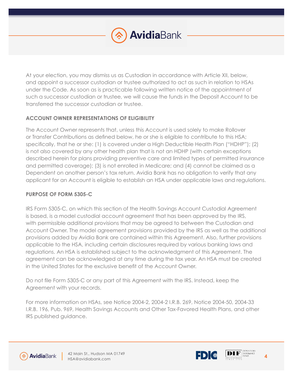

At your election, you may dismiss us as Custodian in accordance with Article XII, below, and appoint a successor custodian or trustee authorized to act as such in relation to HSAs under the Code. As soon as is practicable following written notice of the appointment of such a successor custodian or trustee, we will cause the funds in the Deposit Account to be transferred the successor custodian or trustee.

# **ACCOUNT OWNER REPRESENTATIONS OF ELIGIBILITY**

The Account Owner represents that, unless this Account is used solely to make Rollover or Transfer Contributions as defined below, he or she is eligible to contribute to this HSA; specifically, that he or she: (1) is covered under a High Deductible Health Plan ("HDHP"); (2) is not also covered by any other health plan that is not an HDHP (with certain exceptions described herein for plans providing preventive care and limited types of permitted insurance and permitted coverage); (3) is not enrolled in Medicare; and (4) cannot be claimed as a Dependent on another person's tax return. Avidia Bank has no obligation to verify that any applicant for an Account is eligible to establish an HSA under applicable laws and regulations.

# **PURPOSE OF FORM 5305-C**

IRS Form 5305-C, on which this section of the Health Savings Account Custodial Agreement is based, is a model custodial account agreement that has been approved by the IRS, with permissible additional provisions that may be agreed to between the Custodian and Account Owner. The model agreement provisions provided by the IRS as well as the additional provisions added by Avidia Bank are contained within this Agreement. Also, further provisions applicable to the HSA, including certain disclosures required by various banking laws and regulations. An HSA is established subject to the acknowledgment of this Agreement. The agreement can be acknowledged at any time during the tax year. An HSA must be created in the United States for the exclusive benefit of the Account Owner.

Do not file Form 5305-C or any part of this Agreement with the IRS. Instead, keep the Agreement with your records.

For more information on HSAs, see Notice 2004-2, 2004-2 I.R.B. 269, Notice 2004-50, 2004-33 I.R.B. 196, Pub. 969, Health Savings Accounts and Other Tax-Favored Health Plans, and other IRS published guidance.





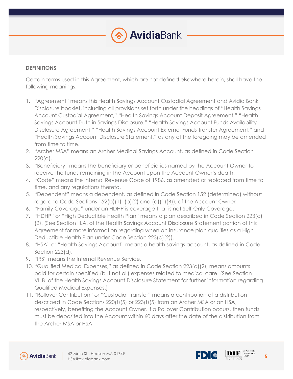

### **DEFINITIONS**

Certain terms used in this Agreement, which are not defined elsewhere herein, shall have the following meanings:

- 1. "Agreement" means this Health Savings Account Custodial Agreement and Avidia Bank Disclosure booklet, including all provisions set forth under the headings of "Health Savings Account Custodial Agreement," "Health Savings Account Deposit Agreement," "Health Savings Account Truth in Savings Disclosure," "Health Savings Account Funds Availability Disclosure Agreement," "Health Savings Account External Funds Transfer Agreement," and "Health Savings Account Disclosure Statement," as any of the foregoing may be amended from time to time.
- 2. "Archer MSA" means an Archer Medical Savings Account, as defined in Code Section 220(d).
- 3. "Beneficiary" means the beneficiary or beneficiaries named by the Account Owner to receive the funds remaining in the Account upon the Account Owner's death.
- 4. "Code" means the Internal Revenue Code of 1986, as amended or replaced from time to time, and any regulations thereto.
- 5. "Dependent" means a dependent, as defined in Code Section 152 (determined) without regard to Code Sections 152(b)(1), (b)(2) and (d)(1)(B)), of the Account Owner.
- 6. "Family Coverage" under an HDHP is coverage that is not Self-Only Coverage.
- 7. "HDHP" or "High Deductible Health Plan" means a plan described in Code Section 223(c) (2). (See Section III.A. of the Health Savings Account Disclosure Statement portion of this Agreement for more information regarding when an insurance plan qualifies as a High Deductible Health Plan under Code Section 223(c)(2)).
- 8. "HSA" or "Health Savings Account" means a health savings account, as defined in Code Section 223(d).
- 9. "IRS" means the Internal Revenue Service.
- 10. "Qualified Medical Expenses," as defined in Code Section 223(d)(2), means amounts paid for certain specified (but not all) expenses related to medical care. (See Section VII.B. of the Health Savings Account Disclosure Statement for further information regarding Qualified Medical Expenses.)
- 11. "Rollover Contribution" or "Custodial Transfer" means a contribution of a distribution described in Code Sections 220(f)(5) or 223(f)(5) from an Archer MSA or an HSA, respectively, benefiting the Account Owner. If a Rollover Contribution occurs, then funds must be deposited into the Account within 60 days after the date of the distribution from the Archer MSA or HSA.





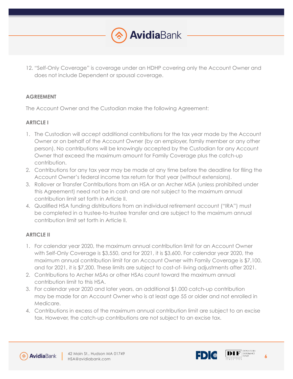

12. "Self-Only Coverage" is coverage under an HDHP covering only the Account Owner and does not include Dependent or spousal coverage.

# **AGREEMENT**

The Account Owner and the Custodian make the following Agreement:

# **ARTICLE I**

- 1. The Custodian will accept additional contributions for the tax year made by the Account Owner or on behalf of the Account Owner (by an employer, family member or any other person). No contributions will be knowingly accepted by the Custodian for any Account Owner that exceed the maximum amount for Family Coverage plus the catch-up contribution.
- 2. Contributions for any tax year may be made at any time before the deadline for filing the Account Owner's federal income tax return for that year (without extensions).
- 3. Rollover or Transfer Contributions from an HSA or an Archer MSA (unless prohibited under this Agreement) need not be in cash and are not subject to the maximum annual contribution limit set forth in Article II.
- 4. Qualified HSA funding distributions from an individual retirement account ("IRA") must be completed in a trustee-to-trustee transfer and are subject to the maximum annual contribution limit set forth in Article II.

# **ARTICLE II**

- 1. For calendar year 2020, the maximum annual contribution limit for an Account Owner with Self-Only Coverage is \$3,550, and for 2021, it is \$3,600. For calendar year 2020, the maximum annual contribution limit for an Account Owner with Family Coverage is \$7,100, and for 2021, it is \$7,200. These limits are subject to cost-of- living adjustments after 2021.
- 2. Contributions to Archer MSAs or other HSAs count toward the maximum annual contribution limit to this HSA.
- 3. For calendar year 2020 and later years, an additional \$1,000 catch-up contribution may be made for an Account Owner who is at least age 55 or older and not enrolled in Medicare.
- 4. Contributions in excess of the maximum annual contribution limit are subject to an excise tax. However, the catch-up contributions are not subject to an excise tax.





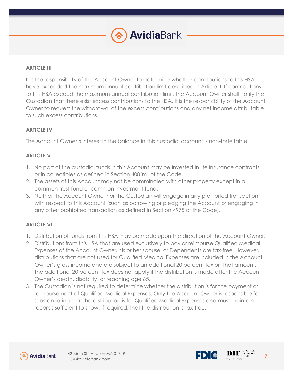

# **ARTICLE III**

It is the responsibility of the Account Owner to determine whether contributions to this HSA have exceeded the maximum annual contribution limit described in Article II. If contributions to this HSA exceed the maximum annual contribution limit, the Account Owner shall notify the Custodian that there exist excess contributions to the HSA. It is the responsibility of the Account Owner to request the withdrawal of the excess contributions and any net income attributable to such excess contributions.

# **ARTICLE IV**

The Account Owner's interest in the balance in this custodial account is non-forfeitable.

# **ARTICLE V**

- 1. No part of the custodial funds in this Account may be invested in life insurance contracts or in collectibles as defined in Section 408(m) of the Code.
- 2. The assets of this Account may not be commingled with other property except in a common trust fund or common investment fund.
- 3. Neither the Account Owner nor the Custodian will engage in any prohibited transaction with respect to this Account (such as borrowing or pledging the Account or engaging in any other prohibited transaction as defined in Section 4975 of the Code).

# **ARTICLE VI**

- 1. Distribution of funds from this HSA may be made upon the direction of the Account Owner.
- 2. Distributions from this HSA that are used exclusively to pay or reimburse Qualified Medical Expenses of the Account Owner, his or her spouse, or Dependents are tax-free. However, distributions that are not used for Qualified Medical Expenses are included in the Account Owner's gross income and are subject to an additional 20 percent tax on that amount. The additional 20 percent tax does not apply if the distribution is made after the Account Owner's death, disability, or reaching age 65.
- 3. The Custodian is not required to determine whether the distribution is for the payment or reimbursement of Qualified Medical Expenses. Only the Account Owner is responsible for substantiating that the distribution is for Qualified Medical Expenses and must maintain records sufficient to show, if required, that the distribution is tax-free.



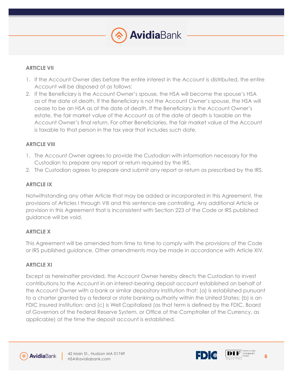

### **ARTICLE VII**

- 1. If the Account Owner dies before the entire interest in the Account is distributed, the entire Account will be disposed of as follows:
- 2. If the Beneficiary is the Account Owner's spouse, the HSA will become the spouse's HSA as of the date of death. If the Beneficiary is not the Account Owner's spouse, the HSA will cease to be an HSA as of the date of death. If the Beneficiary is the Account Owner's estate, the fair market value of the Account as of the date of death is taxable on the Account Owner's final return. For other Beneficiaries, the fair market value of the Account is taxable to that person in the tax year that includes such date.

### **ARTICLE VIII**

- 1. The Account Owner agrees to provide the Custodian with information necessary for the Custodian to prepare any report or return required by the IRS.
- 2. The Custodian agrees to prepare and submit any report or return as prescribed by the IRS.

### **ARTICLE IX**

Notwithstanding any other Article that may be added or incorporated in this Agreement, the provisions of Articles I through VIII and this sentence are controlling. Any additional Article or provision in this Agreement that is inconsistent with Section 223 of the Code or IRS published guidance will be void.

# **ARTICLE X**

This Agreement will be amended from time to time to comply with the provisions of the Code or IRS published guidance. Other amendments may be made in accordance with Article XIV.

### **ARTICLE XI**

Except as hereinafter provided, the Account Owner hereby directs the Custodian to invest contributions to the Account in an interest-bearing deposit account established on behalf of the Account Owner with a bank or similar depository institution that: (a) is established pursuant to a charter granted by a federal or state banking authority within the United States; (b) is an FDIC insured institution; and (c) is Well Capitalized (as that term is defined by the FDIC, Board of Governors of the Federal Reserve System, or Office of the Comptroller of the Currency, as applicable) at the time the deposit account is established.





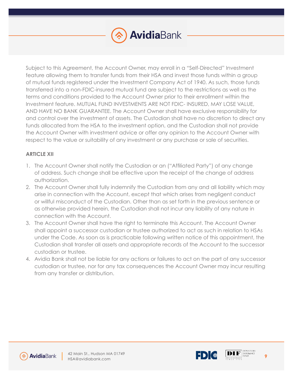

Subject to this Agreement, the Account Owner, may enroll in a "Self-Directed" Investment feature allowing them to transfer funds from their HSA and invest those funds within a group of mutual funds registered under the Investment Company Act of 1940. As such, those funds transferred into a non-FDIC-insured mutual fund are subject to the restrictions as well as the terms and conditions provided to the Account Owner prior to their enrollment within the Investment feature. MUTUAL FUND INVESTMENTS ARE NOT FDIC- INSURED, MAY LOSE VALUE, AND HAVE NO BANK GUARANTEE. The Account Owner shall have exclusive responsibility for and control over the investment of assets. The Custodian shall have no discretion to direct any funds allocated from the HSA to the investment option, and the Custodian shall not provide the Account Owner with investment advice or offer any opinion to the Account Owner with respect to the value or suitability of any investment or any purchase or sale of securities.

# **ARTICLE XII**

- 1. The Account Owner shall notify the Custodian or an ("Affiliated Party") of any change of address. Such change shall be effective upon the receipt of the change of address authorization.
- 2. The Account Owner shall fully indemnify the Custodian from any and all liability which may arise in connection with the Account, except that which arises from negligent conduct or willful misconduct of the Custodian. Other than as set forth in the previous sentence or as otherwise provided herein, the Custodian shall not incur any liability of any nature in connection with the Account.
- 3. The Account Owner shall have the right to terminate this Account. The Account Owner shall appoint a successor custodian or trustee authorized to act as such in relation to HSAs under the Code. As soon as is practicable following written notice of this appointment, the Custodian shall transfer all assets and appropriate records of the Account to the successor custodian or trustee.
- 4. Avidia Bank shall not be liable for any actions or failures to act on the part of any successor custodian or trustee, nor for any tax consequences the Account Owner may incur resulting from any transfer or distribution.



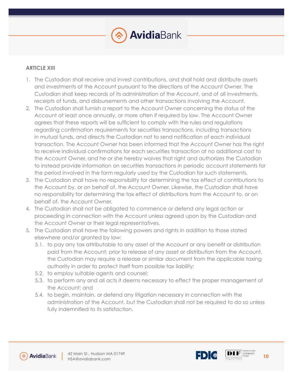

### **ARTICLE XIII**

- 1. The Custodian shall receive and invest contributions, and shall hold and distribute assets and investments of the Account pursuant to the directions of the Account Owner. The Custodian shall keep records of its administration of the Account, and of all investments, receipts of funds, and disbursements and other transactions involving the Account.
- 2. The Custodian shall furnish a report to the Account Owner concerning the status of the Account at least once annually, or more often if required by law. The Account Owner agrees that these reports will be sufficient to comply with the rules and regulations regarding confirmation requirements for securities transactions, including transactions in mutual funds, and directs the Custodian not to send notification of each individual transaction. The Account Owner has been informed that the Account Owner has the right to receive individual confirmations for each securities transaction at no additional cost to the Account Owner, and he or she hereby waives that right and authorizes the Custodian to instead provide information on securities transactions in periodic account statements for the period involved in the form regularly used by the Custodian for such statements.
- 3. The Custodian shall have no responsibility for determining the tax effect of contributions to the Account by, or on behalf of, the Account Owner. Likewise, the Custodian shall have no responsibility for determining the tax effect of distributions from the Account to, or on behalf of, the Account Owner.
- 4. The Custodian shall not be obligated to commence or defend any legal action or proceeding in connection with the Account unless agreed upon by the Custodian and the Account Owner or their legal representatives.
- 5. The Custodian shall have the following powers and rights in addition to those stated elsewhere and/or granted by law:
	- 5.1. to pay any tax attributable to any asset of the Account or any benefit or distribution paid from the Account; prior to release of any asset or distribution from the Account, the Custodian may require a release or similar document from the applicable taxing authority in order to protect itself from possible tax liability;
	- 5.2. to employ suitable agents and counsel;
	- 5.3. to perform any and all acts it deems necessary to effect the proper management of the Account; and
	- 5.4. to begin, maintain, or defend any litigation necessary in connection with the administration of the Account, but the Custodian shall not be required to do so unless fully indemnified to its satisfaction.





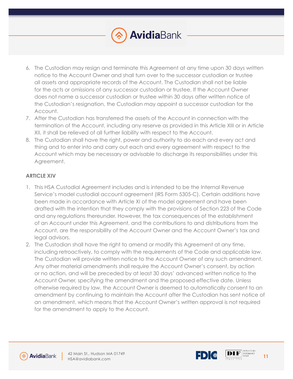

- 6. The Custodian may resign and terminate this Agreement at any time upon 30 days written notice to the Account Owner and shall turn over to the successor custodian or trustee all assets and appropriate records of the Account. The Custodian shall not be liable for the acts or omissions of any successor custodian or trustee. If the Account Owner does not name a successor custodian or trustee within 30 days after written notice of the Custodian's resignation, the Custodian may appoint a successor custodian for the Account.
- 7. After the Custodian has transferred the assets of the Account in connection with the termination of the Account, including any reserve as provided in this Article XIII or in Article XII, it shall be relieved of all further liability with respect to the Account.
- 8. The Custodian shall have the right, power and authority to do each and every act and thing and to enter into and carry out each and every agreement with respect to the Account which may be necessary or advisable to discharge its responsibilities under this Agreement.

# **ARTICLE XIV**

- 1. This HSA Custodial Agreement includes and is intended to be the Internal Revenue Service's model custodial account agreement (IRS Form 5305-C). Certain additions have been made in accordance with Article XI of the model agreement and have been drafted with the intention that they comply with the provisions of Section 223 of the Code and any regulations thereunder. However, the tax consequences of the establishment of an Account under this Agreement, and the contributions to and distributions from the Account, are the responsibility of the Account Owner and the Account Owner's tax and legal advisors.
- 2. The Custodian shall have the right to amend or modify this Agreement at any time, including retroactively, to comply with the requirements of the Code and applicable law. The Custodian will provide written notice to the Account Owner of any such amendment. Any other material amendments shall require the Account Owner's consent, by action or no action, and will be preceded by at least 30 days' advanced written notice to the Account Owner, specifying the amendment and the proposed effective date. Unless otherwise required by law, the Account Owner is deemed to automatically consent to an amendment by continuing to maintain the Account after the Custodian has sent notice of an amendment, which means that the Account Owner's written approval is not required for the amendment to apply to the Account.



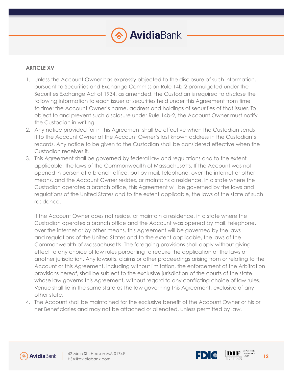

## **ARTICLE XV**

- 1. Unless the Account Owner has expressly objected to the disclosure of such information, pursuant to Securities and Exchange Commission Rule 14b-2 promulgated under the Securities Exchange Act of 1934, as amended, the Custodian is required to disclose the following information to each issuer of securities held under this Agreement from time to time: the Account Owner's name, address and holdings of securities of that issuer. To object to and prevent such disclosure under Rule 14b-2, the Account Owner must notify the Custodian in writing.
- 2. Any notice provided for in this Agreement shall be effective when the Custodian sends it to the Account Owner at the Account Owner's last known address in the Custodian's records. Any notice to be given to the Custodian shall be considered effective when the Custodian receives it.
- 3. This Agreement shall be governed by federal law and regulations and to the extent applicable, the laws of the Commonwealth of Massachusetts. If the Account was not opened in person at a branch office, but by mail, telephone, over the internet or other means, and the Account Owner resides, or maintains a residence, in a state where the Custodian operates a branch office, this Agreement will be governed by the laws and regulations of the United States and to the extent applicable, the laws of the state of such residence.

If the Account Owner does not reside, or maintain a residence, in a state where the Custodian operates a branch office and the Account was opened by mail, telephone, over the internet or by other means, this Agreement will be governed by the laws and regulations of the United States and to the extent applicable, the laws of the Commonwealth of Massachusetts. The foregoing provisions shall apply without giving effect to any choice of law rules purporting to require the application of the laws of another jurisdiction. Any lawsuits, claims or other proceedings arising from or relating to the Account or this Agreement, including without limitation, the enforcement of the Arbitration provisions hereof, shall be subject to the exclusive jurisdiction of the courts of the state whose law governs this Agreement, without regard to any conflicting choice of law rules. Venue shall lie in the same state as the law governing this Agreement, exclusive of any other state.

4. The Account shall be maintained for the exclusive benefit of the Account Owner or his or her Beneficiaries and may not be attached or alienated, unless permitted by law.





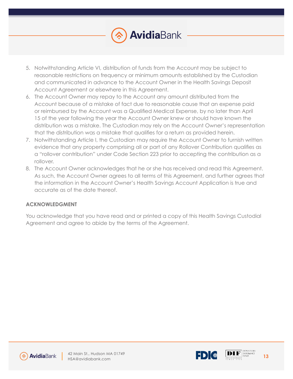

- 5. Notwithstanding Article VI, distribution of funds from the Account may be subject to reasonable restrictions on frequency or minimum amounts established by the Custodian and communicated in advance to the Account Owner in the Health Savings Deposit Account Agreement or elsewhere in this Agreement.
- 6. The Account Owner may repay to the Account any amount distributed from the Account because of a mistake of fact due to reasonable cause that an expense paid or reimbursed by the Account was a Qualified Medical Expense, by no later than April 15 of the year following the year the Account Owner knew or should have known the distribution was a mistake. The Custodian may rely on the Account Owner's representation that the distribution was a mistake that qualifies for a return as provided herein.
- 7. Notwithstanding Article I, the Custodian may require the Account Owner to furnish written evidence that any property comprising all or part of any Rollover Contribution qualifies as a "rollover contribution" under Code Section 223 prior to accepting the contribution as a rollover.
- 8. The Account Owner acknowledges that he or she has received and read this Agreement. As such, the Account Owner agrees to all terms of this Agreement, and further agrees that the information in the Account Owner's Health Savings Account Application is true and accurate as of the date thereof.

### **ACKNOWLEDGMENT**

You acknowledge that you have read and or printed a copy of this Health Savings Custodial Agreement and agree to abide by the terms of the Agreement.





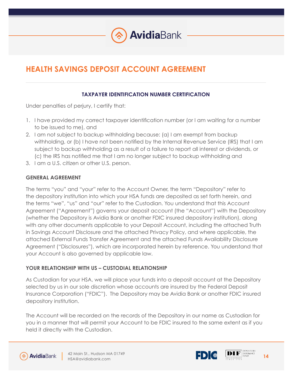

# **HEALTH SAVINGS DEPOSIT ACCOUNT AGREEMENT**

# **TAXPAYER IDENTIFICATION NUMBER CERTIFICATION**

Under penalties of perjury, I certify that:

- 1. I have provided my correct taxpayer identification number (or I am waiting for a number to be issued to me), and
- 2. I am not subject to backup withholding because: (a) I am exempt from backup withholding, or (b) I have not been notified by the Internal Revenue Service (IRS) that I am subject to backup withholding as a result of a failure to report all interest or dividends, or (c) the IRS has notified me that I am no longer subject to backup withholding and
- 3. I am a U.S. citizen or other U.S. person.

# **GENERAL AGREEMENT**

The terms "you" and "your" refer to the Account Owner, the term "Depository" refer to the depository institution into which your HSA funds are deposited as set forth herein, and the terms "we", "us" and "our" refer to the Custodian. You understand that this Account Agreement ("Agreement") governs your deposit account (the "Account") with the Depository (whether the Depository is Avidia Bank or another FDIC insured depository institution), along with any other documents applicable to your Deposit Account, including the attached Truth in Savings Account Disclosure and the attached Privacy Policy, and where applicable, the attached External Funds Transfer Agreement and the attached Funds Availability Disclosure Agreement ("Disclosures"), which are incorporated herein by reference. You understand that your Account is also governed by applicable law.

# **YOUR RELATIONSHIP WITH US – CUSTODIAL RELATIONSHIP**

As Custodian for your HSA, we will place your funds into a deposit account at the Depository selected by us in our sole discretion whose accounts are insured by the Federal Deposit Insurance Corporation ("FDIC"). The Depository may be Avidia Bank or another FDIC insured depository institution.

The Account will be recorded on the records of the Depository in our name as Custodian for you in a manner that will permit your Account to be FDIC insured to the same extent as if you held it directly with the Custodian.





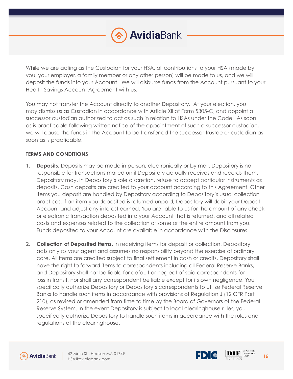

While we are acting as the Custodian for your HSA, all contributions to your HSA (made by you, your employer, a family member or any other person) will be made to us, and we will deposit the funds into your Account. We will disburse funds from the Account pursuant to your Health Savings Account Agreement with us.

You may not transfer the Account directly to another Depository. At your election, you may dismiss us as Custodian in accordance with Article XII of Form 5305-C, and appoint a successor custodian authorized to act as such in relation to HSAs under the Code. As soon as is practicable following written notice of the appointment of such a successor custodian, we will cause the funds in the Account to be transferred the successor trustee or custodian as soon as is practicable.

### **TERMS AND CONDITIONS**

- **1. Deposits.** Deposits may be made in person, electronically or by mail. Depository is not responsible for transactions mailed until Depository actually receives and records them. Depository may, in Depository's sole discretion, refuse to accept particular instruments as deposits. Cash deposits are credited to your account according to this Agreement. Other items you deposit are handled by Depository according to Depository's usual collection practices. If an item you deposited is returned unpaid, Depository will debit your Deposit Account and adjust any interest earned. You are liable to us for the amount of any check or electronic transaction deposited into your Account that is returned, and all related costs and expenses related to the collection of some or the entire amount from you. Funds deposited to your Account are available in accordance with the Disclosures.
- **2. Collection of Deposited Items.** In receiving items for deposit or collection, Depository acts only as your agent and assumes no responsibility beyond the exercise of ordinary care. All items are credited subject to final settlement in cash or credits. Depository shall have the right to forward items to correspondents including all Federal Reserve Banks, and Depository shall not be liable for default or neglect of said correspondents for loss in transit, nor shall any correspondent be liable except for its own negligence. You specifically authorize Depository or Depository's correspondents to utilize Federal Reserve Banks to handle such items in accordance with provisions of Regulation J (12 CFR Part 210), as revised or amended from time to time by the Board of Governors of the Federal Reserve System. In the event Depository is subject to local clearinghouse rules, you specifically authorize Depository to handle such items in accordance with the rules and regulations of the clearinghouse.



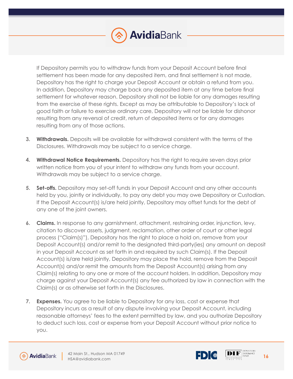

If Depository permits you to withdraw funds from your Deposit Account before final settlement has been made for any deposited item, and final settlement is not made, Depository has the right to charge your Deposit Account or obtain a refund from you. In addition, Depository may charge back any deposited item at any time before final settlement for whatever reason. Depository shall not be liable for any damages resulting from the exercise of these rights. Except as may be attributable to Depository's lack of good faith or failure to exercise ordinary care, Depository will not be liable for dishonor resulting from any reversal of credit, return of deposited items or for any damages resulting from any of those actions.

- **3. Withdrawals.** Deposits will be available for withdrawal consistent with the terms of the Disclosures. Withdrawals may be subject to a service charge.
- **4. Withdrawal Notice Requirements.** Depository has the right to require seven days prior written notice from you of your intent to withdraw any funds from your account. Withdrawals may be subject to a service charge.
- **5. Set-offs.** Depository may set-off funds in your Deposit Account and any other accounts held by you, jointly or individually, to pay any debt you may owe Depository or Custodian. If the Deposit Account(s) is/are held jointly, Depository may offset funds for the debt of any one of the joint owners.
- **6. Claims.** In response to any garnishment, attachment, restraining order, injunction, levy, citation to discover assets, judgment, reclamation, other order of court or other legal process ("Claim(s)"), Depository has the right to place a hold on, remove from your Deposit Account(s) and/or remit to the designated third-party(ies) any amount on deposit in your Deposit Account as set forth in and required by such Claim(s). If the Deposit Account(s) is/are held jointly, Depository may place the hold, remove from the Deposit Account(s) and/or remit the amounts from the Deposit Account(s) arising from any Claim(s) relating to any one or more of the account holders. In addition, Depository may charge against your Deposit Account(s) any fee authorized by law in connection with the Claim(s) or as otherwise set forth in the Disclosures.
- **7. Expenses.** You agree to be liable to Depository for any loss, cost or expense that Depository incurs as a result of any dispute involving your Deposit Account, including reasonable attorneys' fees to the extent permitted by law, and you authorize Depository to deduct such loss, cost or expense from your Deposit Account without prior notice to you.





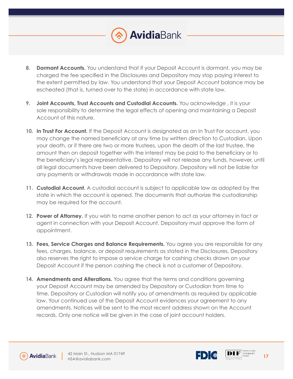

- **8. Dormant Accounts.** You understand that if your Deposit Account is dormant, you may be charged the fee specified in the Disclosures and Depository may stop paying interest to the extent permitted by law. You understand that your Deposit Account balance may be escheated (that is, turned over to the state) in accordance with state law.
- **9. Joint Accounts, Trust Accounts and Custodial Accounts.** You acknowledge , it is your sole responsibility to determine the legal effects of opening and maintaining a Deposit Account of this nature.
- **10. In Trust For Account.** If the Deposit Account is designated as an In Trust For account, you may change the named beneficiary at any time by written direction to Custodian. Upon your death, or if there are two or more trustees, upon the death of the last trustee, the amount then on deposit together with the interest may be paid to the beneficiary or to the beneficiary's legal representative. Depository will not release any funds, however, until all legal documents have been delivered to Depository. Depository will not be liable for any payments or withdrawals made in accordance with state law.
- **11. Custodial Account.** A custodial account is subject to applicable law as adopted by the state in which the account is opened. The documents that authorize the custodianship may be required for the account.
- **12. Power of Attorney.** If you wish to name another person to act as your attorney in fact or agent in connection with your Deposit Account, Depository must approve the form of appointment.
- **13. Fees, Service Charges and Balance Requirements.** You agree you are responsible for any fees, charges, balance, or deposit requirements as stated in the Disclosures. Depository also reserves the right to impose a service charge for cashing checks drawn on your Deposit Account if the person cashing the check is not a customer of Depository.
- **14. Amendments and Alterations.** You agree that the terms and conditions governing your Deposit Account may be amended by Depository or Custodian from time to time. Depository or Custodian will notify you of amendments as required by applicable law. Your continued use of the Deposit Account evidences your agreement to any amendments. Notices will be sent to the most recent address shown on the Account records. Only one notice will be given in the case of joint account holders.





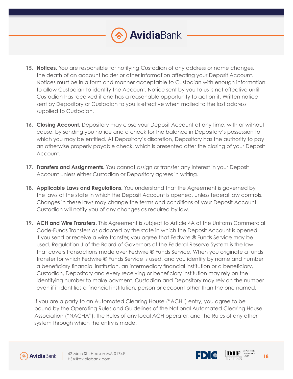

- **15. Notices**. You are responsible for notifying Custodian of any address or name changes, the death of an account holder or other information affecting your Deposit Account. Notices must be in a form and manner acceptable to Custodian with enough information to allow Custodian to identify the Account. Notice sent by you to us is not effective until Custodian has received it and has a reasonable opportunity to act on it. Written notice sent by Depository or Custodian to you is effective when mailed to the last address supplied to Custodian.
- **16. Closing Account.** Depository may close your Deposit Account at any time, with or without cause, by sending you notice and a check for the balance in Depository's possession to which you may be entitled. At Depository's discretion, Depository has the authority to pay an otherwise properly payable check, which is presented after the closing of your Deposit Account.
- 17. **Transfers and Assignments.** You cannot assign or transfer any interest in your Deposit Account unless either Custodian or Depository agrees in writing.
- **18. Applicable Laws and Regulations.** You understand that the Agreement is governed by the laws of the state in which the Deposit Account is opened, unless federal law controls. Changes in these laws may change the terms and conditions of your Deposit Account. Custodian will notify you of any changes as required by law.
- **19. ACH and Wire Transfers.** This Agreement is subject to Article 4A of the Uniform Commercial Code-Funds Transfers as adopted by the state in which the Deposit Account is opened. If you send or receive a wire transfer, you agree that Fedwire ® Funds Service may be used. Regulation J of the Board of Governors of the Federal Reserve System is the law that covers transactions made over Fedwire ® Funds Service. When you originate a funds transfer for which Fedwire ® Funds Service is used, and you identify by name and number a beneficiary financial institution, an intermediary financial institution or a beneficiary, Custodian, Depository and every receiving or beneficiary institution may rely on the identifying number to make payment. Custodian and Depository may rely on the number even if it identifies a financial institution, person or account other than the one named.

If you are a party to an Automated Clearing House ("ACH") entry, you agree to be bound by the Operating Rules and Guidelines of the National Automated Clearing House Association ("NACHA"), the Rules of any local ACH operator, and the Rules of any other system through which the entry is made.





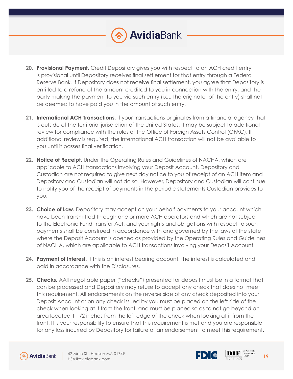

- **20. Provisional Payment.** Credit Depository gives you with respect to an ACH credit entry is provisional until Depository receives final settlement for that entry through a Federal Reserve Bank. If Depository does not receive final settlement, you agree that Depository is entitled to a refund of the amount credited to you in connection with the entry, and the party making the payment to you via such entry (i.e., the originator of the entry) shall not be deemed to have paid you in the amount of such entry.
- **21. International ACH Transactions.** If your transactions originates from a financial agency that is outside of the territorial jurisdiction of the United States, it may be subject to additional review for compliance with the rules of the Office of Foreign Assets Control (OFAC). If additional review is required, the international ACH transaction will not be available to you until it passes final verification.
- **22. Notice of Receipt.** Under the Operating Rules and Guidelines of NACHA, which are applicable to ACH transactions involving your Deposit Account, Depository and Custodian are not required to give next day notice to you of receipt of an ACH item and Depository and Custodian will not do so. However, Depository and Custodian will continue to notify you of the receipt of payments in the periodic statements Custodian provides to you.
- **23. Choice of Law.** Depository may accept on your behalf payments to your account which have been transmitted through one or more ACH operators and which are not subject to the Electronic Fund Transfer Act, and your rights and obligations with respect to such payments shall be construed in accordance with and governed by the laws of the state where the Deposit Account is opened as provided by the Operating Rules and Guidelines of NACHA, which are applicable to ACH transactions involving your Deposit Account.
- **24. Payment of Interest.** If this is an interest bearing account, the interest is calculated and paid in accordance with the Disclosures.
- **25. Checks.** AAll negotiable paper ("checks") presented for deposit must be in a format that can be processed and Depository may refuse to accept any check that does not meet this requirement. All endorsements on the reverse side of any check deposited into your Deposit Account or on any check issued by you must be placed on the left side of the check when looking at it from the front, and must be placed so as to not go beyond an area located 1-1/2 inches from the left edge of the check when looking at it from the front. It is your responsibility to ensure that this requirement is met and you are responsible for any loss incurred by Depository for failure of an endorsement to meet this requirement.





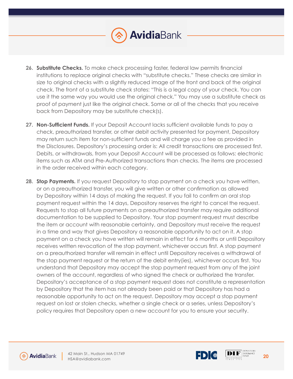

- **26. Substitute Checks.** To make check processing faster, federal law permits financial institutions to replace original checks with "substitute checks." These checks are similar in size to original checks with a slightly reduced image of the front and back of the original check. The front of a substitute check states: "This is a legal copy of your check. You can use it the same way you would use the original check." You may use a substitute check as proof of payment just like the original check. Some or all of the checks that you receive back from Depository may be substitute check(s).
- **27. Non-Sufficient Funds.** If your Deposit Account lacks sufficient available funds to pay a check, preauthorized transfer, or other debit activity presented for payment, Depository may return such item for non-sufficient funds and will charge you a fee as provided in the Disclosures. Depository's processing order is: All credit transactions are processed first. Debits, or withdrawals, from your Deposit Account will be processed as follows: electronic items such as ATM and Pre-Authorized transactions than checks. The items are processed in the order received within each category.
- 28. **Stop Payments.** If you request Depository to stop payment on a check you have written, or on a preauthorized transfer, you will give written or other confirmation as allowed by Depository within 14 days of making the request. If you fail to confirm an oral stop payment request within the 14 days, Depository reserves the right to cancel the request. Requests to stop all future payments on a preauthorized transfer may require additional documentation to be supplied to Depository. Your stop payment request must describe the item or account with reasonable certainty, and Depository must receive the request in a time and way that gives Depository a reasonable opportunity to act on it. A stop payment on a check you have written will remain in effect for 6 months or until Depository receives written revocation of the stop payment, whichever occurs first. A stop payment on a preauthorized transfer will remain in effect until Depository receives a withdrawal of the stop payment request or the return of the debit entry(ies), whichever occurs first. You understand that Depository may accept the stop payment request from any of the joint owners of the account, regardless of who signed the check or authorized the transfer. Depository's acceptance of a stop payment request does not constitute a representation by Depository that the item has not already been paid or that Depository has had a reasonable opportunity to act on the request. Depository may accept a stop payment request on lost or stolen checks, whether a single check or a series, unless Depository's policy requires that Depository open a new account for you to ensure your security.



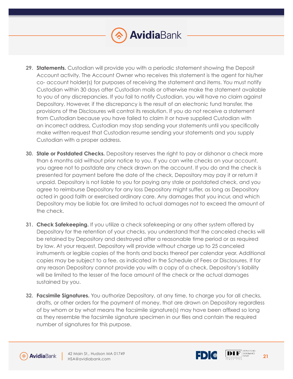

- **29. Statements.** Custodian will provide you with a periodic statement showing the Deposit Account activity. The Account Owner who receives this statement is the agent for his/her co- account holder(s) for purposes of receiving the statement and items. You must notify Custodian within 30 days after Custodian mails or otherwise make the statement available to you of any discrepancies. If you fail to notify Custodian, you will have no claim against Depository. However, if the discrepancy is the result of an electronic fund transfer, the provisions of the Disclosures will control its resolution. If you do not receive a statement from Custodian because you have failed to claim it or have supplied Custodian with an incorrect address, Custodian may stop sending your statements until you specifically make written request that Custodian resume sending your statements and you supply Custodian with a proper address.
- **30. Stale or Postdated Checks.** Depository reserves the right to pay or dishonor a check more than 6 months old without prior notice to you. If you can write checks on your account, you agree not to postdate any check drawn on the account. If you do and the check is presented for payment before the date of the check, Depository may pay it or return it unpaid. Depository is not liable to you for paying any stale or postdated check, and you agree to reimburse Depository for any loss Depository might suffer, as long as Depository acted in good faith or exercised ordinary care. Any damages that you incur, and which Depository may be liable for, are limited to actual damages not to exceed the amount of the check.
- **31. Check Safekeeping.** If you utilize a check safekeeping or any other system offered by Depository for the retention of your checks, you understand that the canceled checks will be retained by Depository and destroyed after a reasonable time period or as required by law. At your request, Depository will provide without charge up to 25 canceled instruments or legible copies of the fronts and backs thereof per calendar year. Additional copies may be subject to a fee, as indicated in the Schedule of Fees or Disclosures. If for any reason Depository cannot provide you with a copy of a check, Depository's liability will be limited to the lesser of the face amount of the check or the actual damages sustained by you.
- **32. Facsimile Signatures.** You authorize Depository, at any time, to charge you for all checks, drafts, or other orders for the payment of money, that are drawn on Depository regardless of by whom or by what means the facsimile signature(s) may have been affixed so long as they resemble the facsimile signature specimen in our files and contain the required number of signatures for this purpose.



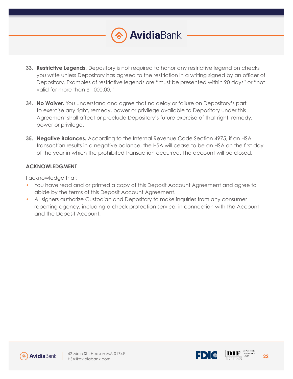

**AvidiaBank** 

- **34. No Waiver.** You understand and agree that no delay or failure on Depository's part to exercise any right, remedy, power or privilege available to Depository under this Agreement shall affect or preclude Depository's future exercise of that right, remedy, power or privilege.
- **35. Negative Balances.** According to the Internal Revenue Code Section 4975, if an HSA transaction results in a negative balance, the HSA will cease to be an HSA on the first day of the year in which the prohibited transaction occurred. The account will be closed.

### **ACKNOWLEDGMENT**

I acknowledge that:

- You have read and or printed a copy of this Deposit Account Agreement and agree to abide by the terms of this Deposit Account Agreement.
- All signers authorize Custodian and Depository to make inquiries from any consumer reporting agency, including a check protection service, in connection with the Account and the Deposit Account.





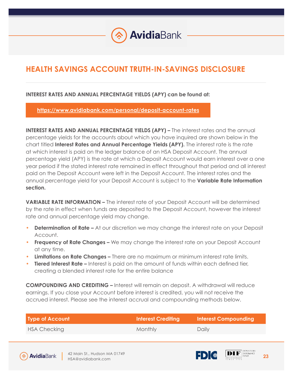# **HEALTH SAVINGS ACCOUNT TRUTH-IN-SAVINGS DISCLOSURE**

### **INTEREST RATES AND ANNUAL PERCENTAGE YIELDS (APY) can be found at:**

**https://www.avidiabank.com/personal/deposit-account-rates**

**INTEREST RATES AND ANNUAL PERCENTAGE YIELDS (APY) –** The interest rates and the annual percentage yields for the accounts about which you have inquired are shown below in the chart titled **Interest Rates and Annual Percentage Yields (APY).** The interest rate is the rate at which interest is paid on the ledger balance of an HSA Deposit Account. The annual percentage yield (APY) is the rate at which a Deposit Account would earn interest over a one year period if the stated interest rate remained in effect throughout that period and all interest paid on the Deposit Account were left in the Deposit Account. The interest rates and the annual percentage yield for your Deposit Account is subject to the **Variable Rate Information section.** 

**VARIABLE RATE INFORMATION –** The interest rate of your Deposit Account will be determined by the rate in effect when funds are deposited to the Deposit Account, however the interest rate and annual percentage yield may change.

- **Determination of Rate –** At our discretion we may change the interest rate on your Deposit Account.
- **Frequency of Rate Changes** We may change the interest rate on your Deposit Account at any time.
- **Limitations on Rate Changes** There are no maximum or minimum interest rate limits.
- **Tiered Interest Rate** Interest is paid on the amount of funds within each defined tier, creating a blended interest rate for the entire balance

**COMPOUNDING AND CREDITING –** Interest will remain on deposit. A withdrawal will reduce earnings. If you close your Account before interest is credited, you will not receive the accrued interest. Please see the interest accrual and compounding methods below.

| Type of Account | <b>Interest Crediting</b> | <b>Interest Compounding</b> |
|-----------------|---------------------------|-----------------------------|
| HSA Checking    | Monthly                   | Daily                       |





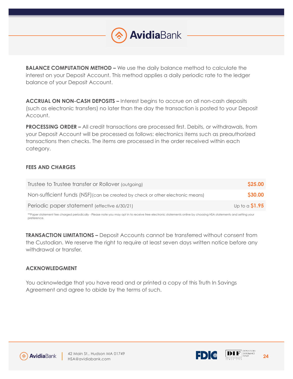

**BALANCE COMPUTATION METHOD –** We use the daily balance method to calculate the interest on your Deposit Account. This method applies a daily periodic rate to the ledger balance of your Deposit Account.

**ACCRUAL ON NON-CASH DEPOSITS –** Interest begins to accrue on all non-cash deposits (such as electronic transfers) no later than the day the transaction is posted to your Deposit Account.

**PROCESSING ORDER –** All credit transactions are processed first. Debits, or withdrawals, from your Deposit Account will be processed as follows: electronics items such as preauthorized transactions then checks. The items are processed in the order received within each category.

### **FEES AND CHARGES**

| Trustee to Trustee transfer or Rollover (outgoing)                             | \$25.00         |
|--------------------------------------------------------------------------------|-----------------|
| Non-sufficient funds (NSF) (can be created by check or other electronic means) | <b>\$30.00</b>  |
| Periodic paper statement (effective 6/30/21)                                   | Up to a $$1.95$ |

\*\*Paper statement fee charged periodically - Please note you may opt in to receive free electronic statements online by choosing HSA statements and setting your preference.

**TRANSACTION LIMITATIONS –** Deposit Accounts cannot be transferred without consent from the Custodian. We reserve the right to require at least seven days written notice before any withdrawal or transfer.

### **ACKNOWLEDGMENT**

You acknowledge that you have read and or printed a copy of this Truth In Savings Agreement and agree to abide by the terms of such.





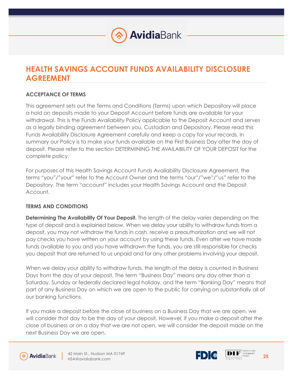# **HEALTH SAVINGS ACCOUNT FUNDS AVAILABILITY DISCLOSURE AGREEMENT**

# **ACCEPTANCE OF TERMS**

This agreement sets out the Terms and Conditions (Terms) upon which Depository will place a hold on deposits made to your Deposit Account before funds are available for your withdrawal. This is the Funds Availability Policy applicable to the Deposit Account and serves as a legally binding agreement between you, Custodian and Depository. Please read this Funds Availability Disclosure Agreement carefully and keep a copy for your records. In summary our Policy is to make your funds available on the First Business Day after the day of deposit. Please refer to the section DETERMINING THE AVAILABILITY OF YOUR DEPOSIT for the complete policy.

For purposes of this Health Savings Account Funds Availability Disclosure Agreement, the terms "you"/"your" refer to the Account Owner and the terms "our"/"we"/"us" refer to the Depository. The term "account" includes your Health Savings Account and the Deposit Account.

# **TERMS AND CONDITIONS**

**Determining The Availability Of Your Deposit.** The length of the delay varies depending on the type of deposit and is explained below. When we delay your ability to withdraw funds from a deposit, you may not withdraw the funds in cash, receive a preauthorization and we will not pay checks you have written on your account by using these funds. Even after we have made funds available to you and you have withdrawn the funds, you are still responsible for checks you deposit that are returned to us unpaid and for any other problems involving your deposit.

When we delay your ability to withdraw funds, the length of the delay is counted in Business Days from the day of your deposit. The term "Business Day" means any day other than a Saturday, Sunday or federally declared legal holiday, and the term "Banking Day" means that part of any Business Day on which we are open to the public for carrying on substantially all of our banking functions.

If you make a deposit before the close of business on a Business Day that we are open, we will consider that day to be the day of your deposit. However, if you make a deposit after the close of business or on a day that we are not open, we will consider the deposit made on the next Business Day we are open.



L

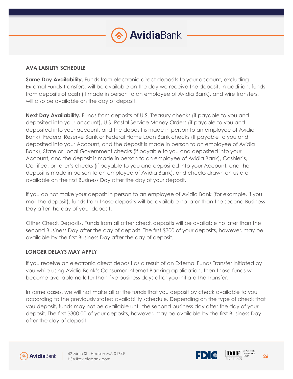### **AVAILABILITY SCHEDULE**

**Same Day Availability.** Funds from electronic direct deposits to your account, excluding External Funds Transfers, will be available on the day we receive the deposit. In addition, funds from deposits of cash (if made in person to an employee of Avidia Bank), and wire transfers, will also be available on the day of deposit.

**Next Day Availability.** Funds from deposits of U.S. Treasury checks (if payable to you and deposited into your account), U.S. Postal Service Money Orders (if payable to you and deposited into your account, and the deposit is made in person to an employee of Avidia Bank), Federal Reserve Bank or Federal Home Loan Bank checks (If payable to you and deposited into your Account, and the deposit is made in person to an employee of Avidia Bank), State or Local Government checks (if payable to you and deposited into your Account, and the deposit is made in person to an employee of Avidia Bank), Cashier's, Certified, or Teller's checks (if payable to you and deposited into your Account, and the deposit is made in person to an employee of Avidia Bank), and checks drawn on us are available on the first Business Day after the day of your deposit.

If you do not make your deposit in person to an employee of Avidia Bank (for example, if you mail the deposit), funds from these deposits will be available no later than the second Business Day after the day of your deposit.

Other Check Deposits. Funds from all other check deposits will be available no later than the second Business Day after the day of deposit. The first \$300 of your deposits, however, may be available by the first Business Day after the day of deposit.

### **LONGER DELAYS MAY APPLY**

If you receive an electronic direct deposit as a result of an External Funds Transfer initiated by you while using Avidia Bank's Consumer Internet Banking application, then those funds will become available no later than five business days after you initiate the Transfer.

In some cases, we will not make all of the funds that you deposit by check available to you according to the previously stated availability schedule. Depending on the type of check that you deposit, funds may not be available until the second business day after the day of your deposit. The first \$300.00 of your deposits, however, may be available by the first Business Day after the day of deposit.



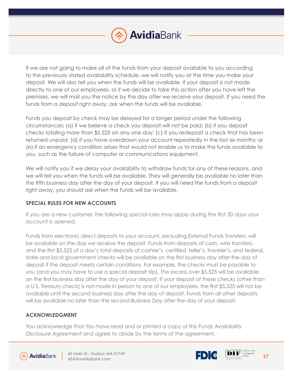

If we are not going to make all of the funds from your deposit available to you according to the previously stated availability schedule, we will notify you at the time you make your deposit. We will also tell you when the funds will be available. If your deposit is not made directly to one of our employees, or if we decide to take this action after you have left the premises, we will mail you the notice by the day after we receive your deposit. If you need the funds from a deposit right away, ask when the funds will be available.

Funds you deposit by check may be delayed for a longer period under the following circumstances: (a) if we believe a check you deposit will not be paid; (b) if you deposit checks totaling more than \$5,525 on any one day; (c) if you redeposit a check that has been returned unpaid; (d) if you have overdrawn your account repeatedly in the last six months; or (e) if an emergency condition arises that would not enable us to make the funds available to you, such as the failure of computer or communications equipment.

We will notify you if we delay your availability to withdraw funds for any of these reasons, and we will tell you when the funds will be available. They will generally be available no later than the fifth business day after the day of your deposit. If you will need the funds from a deposit right away, you should ask when the funds will be available.

### **SPECIAL RULES FOR NEW ACCOUNTS**

If you are a new customer, the following special rules may apply during the first 30 days your account is opened.

Funds from electronic direct deposits to your account, excluding External Funds Transfers, will be available on the day we receive the deposit. Funds from deposits of cash, wire transfers, and the first \$5,525 of a day's total deposits of cashier's, certified, teller's, traveler's, and federal, state and local government checks will be available on the first business day after the day of deposit if the deposit meets certain conditions. For example, the checks must be payable to you (and you may have to use a special deposit slip). The excess over \$5,525 will be available on the first business day after the day of your deposit. If your deposit of these checks (other than a U.S. Treasury check) is not made in person to one of our employees, the first \$5,525 will not be available until the second business day after the day of deposit. Funds from all other deposits will be available no later than the second Business Day after the day of your deposit.

# **ACKNOWLEDGMENT**

You acknowledge that You have read and or printed a copy of this Funds Availability Disclosure Agreement and agree to abide by the terms of the agreement.



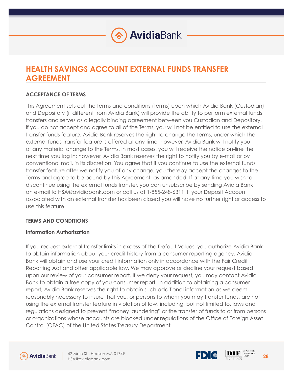

# **HEALTH SAVINGS ACCOUNT EXTERNAL FUNDS TRANSFER AGREEMENT**

# **ACCEPTANCE OF TERMS**

This Agreement sets out the terms and conditions (Terms) upon which Avidia Bank (Custodian) and Depository (if different from Avidia Bank) will provide the ability to perform external funds transfers and serves as a legally binding agreement between you Custodian and Depository. If you do not accept and agree to all of the Terms, you will not be entitled to use the external transfer funds feature. Avidia Bank reserves the right to change the Terms, under which the external funds transfer feature is offered at any time; however, Avidia Bank will notify you of any material change to the Terms. In most cases, you will receive the notice on-line the next time you log in; however, Avidia Bank reserves the right to notify you by e-mail or by conventional mail, in its discretion. You agree that if you continue to use the external funds transfer feature after we notify you of any change, you thereby accept the changes to the Terms and agree to be bound by this Agreement, as amended. If at any time you wish to discontinue using the external funds transfer, you can unsubscribe by sending Avidia Bank an e-mail to HSA@avidiabank.com or call us at 1-855-248-6311. If your Deposit Account associated with an external transfer has been closed you will have no further right or access to use this feature.

# **TERMS AND CONDITIONS**

### **Information Authorization**

If you request external transfer limits in excess of the Default Values, you authorize Avidia Bank to obtain information about your credit history from a consumer reporting agency. Avidia Bank will obtain and use your credit information only in accordance with the Fair Credit Reporting Act and other applicable law. We may approve or decline your request based upon our review of your consumer report. If we deny your request, you may contact Avidia Bank to obtain a free copy of you consumer report. In addition to obtaining a consumer report, Avidia Bank reserves the right to obtain such additional information as we deem reasonably necessary to insure that you, or persons to whom you may transfer funds, are not using the external transfer feature in violation of law, including, but not limited to, laws and regulations designed to prevent "money laundering" or the transfer of funds to or from persons or organizations whose accounts are blocked under regulations of the Office of Foreign Asset Control (OFAC) of the United States Treasury Department.





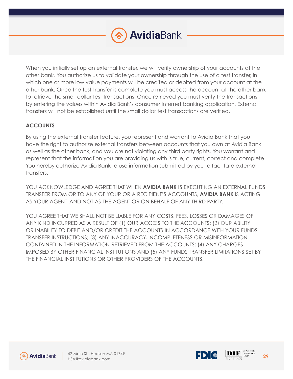

When you initially set up an external transfer, we will verify ownership of your accounts at the other bank. You authorize us to validate your ownership through the use of a test transfer, in which one or more low value payments will be credited or debited from your account at the other bank. Once the test transfer is complete you must access the account at the other bank to retrieve the small dollar test transactions. Once retrieved you must verify the transactions by entering the values within Avidia Bank's consumer internet banking application. External transfers will not be established until the small dollar test transactions are verified.

# **ACCOUNTS**

By using the external transfer feature, you represent and warrant to Avidia Bank that you have the right to authorize external transfers between accounts that you own at Avidia Bank as well as the other bank, and you are not violating any third party rights. You warrant and represent that the information you are providing us with is true, current, correct and complete. You hereby authorize Avidia Bank to use information submitted by you to facilitate external transfers.

YOU ACKNOWLEDGE AND AGREE THAT WHEN **AVIDIA BANK I**S EXECUTING AN EXTERNAL FUNDS TRANSFER FROM OR TO ANY OF YOUR OR A RECIPIENT'S ACCOUNTS, **AVIDIA BANK** IS ACTING AS YOUR AGENT, AND NOT AS THE AGENT OR ON BEHALF OF ANY THIRD PARTY.

YOU AGREE THAT WE SHALL NOT BE LIABLE FOR ANY COSTS, FEES, LOSSES OR DAMAGES OF ANY KIND INCURRED AS A RESULT OF (1) OUR ACCESS TO THE ACCOUNTS; (2) OUR ABILITY OR INABILITY TO DEBIT AND/OR CREDIT THE ACCOUNTS IN ACCORDANCE WITH YOUR FUNDS TRANSFER INSTRUCTIONS; (3) ANY INACCURACY, INCOMPLETENESS OR MISINFORMATION CONTAINED IN THE INFORMATION RETRIEVED FROM THE ACCOUNTS; (4) ANY CHARGES IMPOSED BY OTHER FINANCIAL INSTITUTIONS AND (5) ANY FUNDS TRANSFER LIMITATIONS SET BY THE FINANCIAL INSTITUTIONS OR OTHER PROVIDERS OF THE ACCOUNTS.





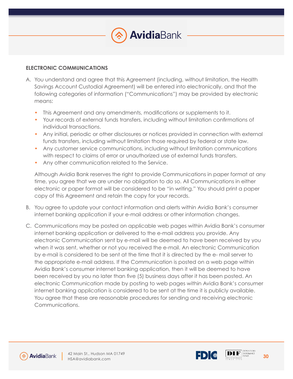

#### **ELECTRONIC COMMUNICATIONS**

- A. You understand and agree that this Agreement (including, without limitation, the Health Savings Account Custodial Agreement) will be entered into electronically, and that the following categories of information ("Communications") may be provided by electronic means:
	- This Agreement and any amendments, modifications or supplements to it.
	- Your records of external funds transfers, including without limitation confirmations of individual transactions.
	- Any initial, periodic or other disclosures or notices provided in connection with external funds transfers, including without limitation those required by federal or state law.
	- Any customer service communications, including without limitation communications with respect to claims of error or unauthorized use of external funds transfers.
	- Any other communication related to the Service.

Although Avidia Bank reserves the right to provide Communications in paper format at any time, you agree that we are under no obligation to do so. All Communications in either electronic or paper format will be considered to be "in writing." You should print a paper copy of this Agreement and retain the copy for your records.

- B. You agree to update your contact information and alerts within Avidia Bank's consumer internet banking application if your e-mail address or other information changes.
- C. Communications may be posted on applicable web pages within Avidia Bank's consumer internet banking application or delivered to the e-mail address you provide. Any electronic Communication sent by e-mail will be deemed to have been received by you when it was sent, whether or not you received the e-mail. An electronic Communication by e-mail is considered to be sent at the time that it is directed by the e- mail server to the appropriate e-mail address. If the Communication is posted on a web page within Avidia Bank's consumer internet banking application, then it will be deemed to have been received by you no later than five (5) business days after it has been posted. An electronic Communication made by posting to web pages within Avidia Bank's consumer internet banking application is considered to be sent at the time it is publicly available. You agree that these are reasonable procedures for sending and receiving electronic Communications.





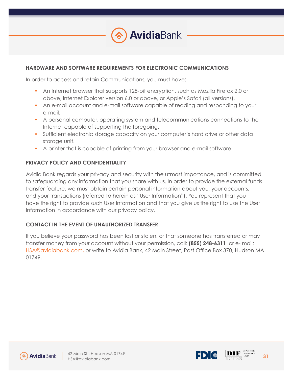

### **HARDWARE AND SOFTWARE REQUIREMENTS FOR ELECTRONIC COMMUNICATIONS**

In order to access and retain Communications, you must have:

- An Internet browser that supports 128-bit encryption, such as Mozilla Firefox 2.0 or above, Internet Explorer version 6.0 or above, or Apple's Safari (all versions).
- An e-mail account and e-mail software capable of reading and responding to your e-mail.
- A personal computer, operating system and telecommunications connections to the Internet capable of supporting the foregoing.
- Sufficient electronic storage capacity on your computer's hard drive or other data storage unit.
- A printer that is capable of printing from your browser and e-mail software.

### **PRIVACY POLICY AND CONFIDENTIALITY**

Avidia Bank regards your privacy and security with the utmost importance, and is committed to safeguarding any information that you share with us. In order to provide the external funds transfer feature, we must obtain certain personal information about you, your accounts, and your transactions (referred to herein as "User Information"). You represent that you have the right to provide such User Information and that you give us the right to use the User Information in accordance with our privacy policy.

### **CONTACT IN THE EVENT OF UNAUTHORIZED TRANSFER**

If you believe your password has been lost or stolen, or that someone has transferred or may transfer money from your account without your permission, call: **(855) 248-6311** or e- mail: HSA@avidiabank.com, or write to Avidia Bank, 42 Main Street, Post Office Box 370, Hudson MA 01749.





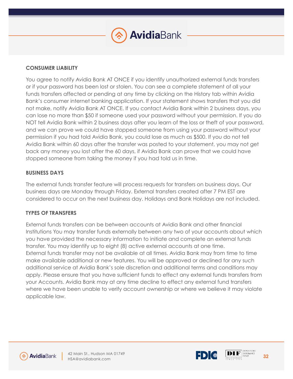# **CONSUMER LIABILITY**

You agree to notify Avidia Bank AT ONCE if you identify unauthorized external funds transfers or if your password has been lost or stolen. You can see a complete statement of all your funds transfers affected or pending at any time by clicking on the History tab within Avidia Bank's consumer internet banking application. If your statement shows transfers that you did not make, notify Avidia Bank AT ONCE. If you contact Avidia Bank within 2 business days, you can lose no more than \$50 if someone used your password without your permission. If you do NOT tell Avidia Bank within 2 business days after you learn of the loss or theft of your password, and we can prove we could have stopped someone from using your password without your permission if you had told Avidia Bank, you could lose as much as \$500. If you do not tell Avidia Bank within 60 days after the transfer was posted to your statement, you may not get back any money you lost after the 60 days, if Avidia Bank can prove that we could have stopped someone from taking the money if you had told us in time.

### **BUSINESS DAYS**

The external funds transfer feature will process requests for transfers on business days. Our business days are Monday through Friday. External transfers created after 7 PM EST are considered to occur on the next business day. Holidays and Bank Holidays are not included.

### **TYPES OF TRANSFERS**

External funds transfers can be between accounts at Avidia Bank and other financial Institutions You may transfer funds externally between any two of your accounts about which you have provided the necessary information to initiate and complete an external funds transfer. You may identify up to eight (8) active external accounts at one time. External funds transfer may not be available at all times. Avidia Bank may from time to time make available additional or new features. You will be approved or declined for any such additional service at Avidia Bank's sole discretion and additional terms and conditions may apply. Please ensure that you have sufficient funds to effect any external funds transfers from your Accounts. Avidia Bank may at any time decline to effect any external fund transfers where we have been unable to verify account ownership or where we believe it may violate applicable law.





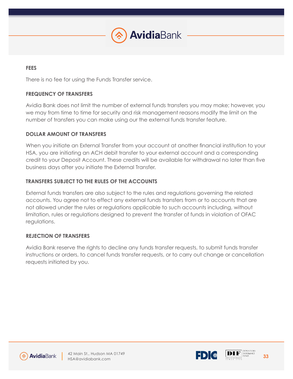

### **FEES**

There is no fee for using the Funds Transfer service.

## **FREQUENCY OF TRANSFERS**

Avidia Bank does not limit the number of external funds transfers you may make; however, you we may from time to time for security and risk management reasons modify the limit on the number of transfers you can make using our the external funds transfer feature.

### **DOLLAR AMOUNT OF TRANSFERS**

When you initiate an External Transfer from your account at another financial institution to your HSA, you are initiating an ACH debit transfer to your external account and a corresponding credit to your Deposit Account. These credits will be available for withdrawal no later than five business days after you initiate the External Transfer.

### **TRANSFERS SUBJECT TO THE RULES OF THE ACCOUNTS**

External funds transfers are also subject to the rules and regulations governing the related accounts. You agree not to effect any external funds transfers from or to accounts that are not allowed under the rules or regulations applicable to such accounts including, without limitation, rules or regulations designed to prevent the transfer of funds in violation of OFAC regulations.

### **REJECTION OF TRANSFERS**

Avidia Bank reserve the rights to decline any funds transfer requests, to submit funds transfer instructions or orders, to cancel funds transfer requests, or to carry out change or cancellation requests initiated by you.





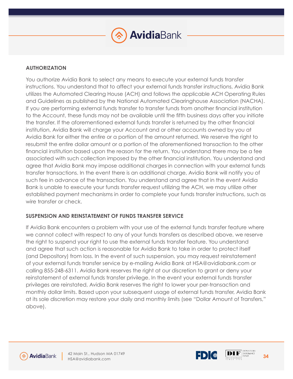

### **AUTHORIZATION**

You authorize Avidia Bank to select any means to execute your external funds transfer instructions. You understand that to affect your external funds transfer instructions, Avidia Bank utilizes the Automated Clearing House (ACH) and follows the applicable ACH Operating Rules and Guidelines as published by the National Automated Clearinghouse Association (NACHA). If you are performing external funds transfer to transfer funds from another financial institution to the Account, these funds may not be available until the fifth business days after you initiate the transfer. If the aforementioned external funds transfer is returned by the other financial institution, Avidia Bank will charge your Account and or other accounts owned by you at Avidia Bank for either the entire or a portion of the amount returned. We reserve the right to resubmit the entire dollar amount or a portion of the aforementioned transaction to the other financial institution based upon the reason for the return. You understand there may be a fee associated with such collection imposed by the other financial institution. You understand and agree that Avidia Bank may impose additional charges in connection with your external funds transfer transactions. In the event there is an additional charge, Avidia Bank will notify you of such fee in advance of the transaction. You understand and agree that in the event Avidia Bank is unable to execute your funds transfer request utilizing the ACH, we may utilize other established payment mechanisms in order to complete your funds transfer instructions, such as wire transfer or check.

### **SUSPENSION AND REINSTATEMENT OF FUNDS TRANSFER SERVICE**

If Avidia Bank encounters a problem with your use of the external funds transfer feature where we cannot collect with respect to any of your funds transfers as described above, we reserve the right to suspend your right to use the external funds transfer feature. You understand and agree that such action is reasonable for Avidia Bank to take in order to protect itself (and Depository) from loss. In the event of such suspension, you may request reinstatement of your external funds transfer service by e-mailing Avidia Bank at HSA@avidiabank.com or calling 855-248-6311. Avidia Bank reserves the right at our discretion to grant or deny your reinstatement of external funds transfer privilege. In the event your external funds transfer privileges are reinstated, Avidia Bank reserves the right to lower your per-transaction and monthly dollar limits. Based upon your subsequent usage of external funds transfer, Avidia Bank at its sole discretion may restore your daily and monthly limits (see "Dollar Amount of Transfers," above).





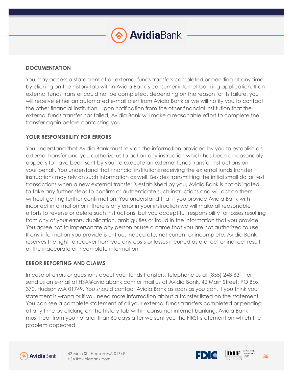### **DOCUMENTATION**

You may access a statement of all external funds transfers completed or pending at any time by clicking on the history tab within Avidia Bank's consumer internet banking application. If an external funds transfer could not be completed, depending on the reason for its failure, you will receive either an automated e-mail alert from Avidia Bank or we will notify you to contact the other financial institution. Upon notification from the other financial institution that the external funds transfer has failed, Avidia Bank will make a reasonable effort to complete the transfer again before contacting you.

### **YOUR RESPONSIBILITY FOR ERRORS**

You understand that Avidia Bank must rely on the information provided by you to establish an external transfer and you authorize us to act on any instruction which has been or reasonably appears to have been sent by you, to execute an external funds transfer instructions on your behalf. You understand that financial institutions receiving the external funds transfer instructions may rely on such information as well. Besides transmitting the initial small dollar test transactions when a new external transfer is established by you, Avidia Bank is not obligated to take any further steps to confirm or authenticate such instructions and will act on them without getting further confirmation. You understand that if you provide Avidia Bank with incorrect information or if there is any error in your instruction we will make all reasonable efforts to reverse or delete such instructions, but you accept full responsibility for losses resulting from any of your errors, duplication, ambiguities or fraud in the information that you provide. You agree not to impersonate any person or use a name that you are not authorized to use. If any information you provide is untrue, inaccurate, not current or incomplete, Avidia Bank reserves the right to recover from you any costs or losses incurred as a direct or indirect result of the inaccurate or incomplete information.

### **ERROR REPORTING AND CLAIMS**

In case of errors or questions about your funds transfers, telephone us at (855) 248-6311 or send us an e-mail at HSA@avidiabank.com or mail us at Avidia Bank, 42 Main Street, PO Box 370, Hudson MA 01749. You should contact Avidia Bank as soon as you can, if you think your statement is wrong or if you need more information about a transfer listed on the statement. You can see a complete statement of all your external funds transfers completed or pending at any time by clicking on the history tab within consumer internet banking. Avidia Bank must hear from you no later than 60 days after we sent you the FIRST statement on which the problem appeared.



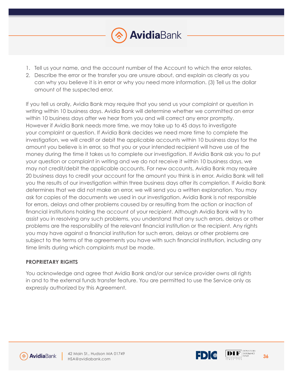

- 1. Tell us your name, and the account number of the Account to which the error relates.
- 2. Describe the error or the transfer you are unsure about, and explain as clearly as you can why you believe it is in error or why you need more information. (3) Tell us the dollar amount of the suspected error.

If you tell us orally, Avidia Bank may require that you send us your complaint or question in writing within 10 business days. Avidia Bank will determine whether we committed an error within 10 business days after we hear from you and will correct any error promptly. However if Avidia Bank needs more time, we may take up to 45 days to investigate your complaint or question. If Avidia Bank decides we need more time to complete the investigation, we will credit or debit the applicable accounts within 10 business days for the amount you believe is in error, so that you or your intended recipient will have use of the money during the time it takes us to complete our investigation. If Avidia Bank ask you to put your question or complaint in writing and we do not receive it within 10 business days, we may not credit/debit the applicable accounts. For new accounts, Avidia Bank may require 20 business days to credit your account for the amount you think is in error. Avidia Bank will tell you the results of our investigation within three business days after its completion. If Avidia Bank determines that we did not make an error, we will send you a written explanation. You may ask for copies of the documents we used in our investigation. Avidia Bank is not responsible for errors, delays and other problems caused by or resulting from the action or inaction of financial institutions holding the account of your recipient. Although Avidia Bank will try to assist you in resolving any such problems, you understand that any such errors, delays or other problems are the responsibility of the relevant financial institution or the recipient. Any rights you may have against a financial institution for such errors, delays or other problems are subject to the terms of the agreements you have with such financial institution, including any time limits during which complaints must be made.

# **PROPRIETARY RIGHTS**

You acknowledge and agree that Avidia Bank and/or our service provider owns all rights in and to the external funds transfer feature. You are permitted to use the Service only as expressly authorized by this Agreement.





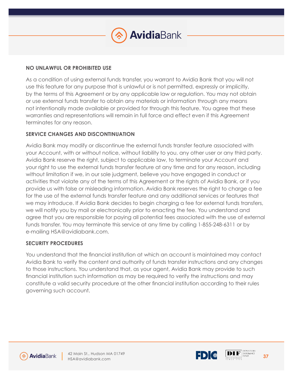

#### **NO UNLAWFUL OR PROHIBITED USE**

As a condition of using external funds transfer, you warrant to Avidia Bank that you will not use this feature for any purpose that is unlawful or is not permitted, expressly or implicitly, by the terms of this Agreement or by any applicable law or regulation. You may not obtain or use external funds transfer to obtain any materials or information through any means not intentionally made available or provided for through this feature. You agree that these warranties and representations will remain in full force and effect even if this Agreement terminates for any reason.

### **SERVICE CHANGES AND DISCONTINUATION**

Avidia Bank may modify or discontinue the external funds transfer feature associated with your Account, with or without notice, without liability to you, any other user or any third party. Avidia Bank reserve the right, subject to applicable law, to terminate your Account and your right to use the external funds transfer feature at any time and for any reason, including without limitation if we, in our sole judgment, believe you have engaged in conduct or activities that violate any of the terms of this Agreement or the rights of Avidia Bank, or if you provide us with false or misleading information. Avidia Bank reserves the right to charge a fee for the use of the external funds transfer feature and any additional services or features that we may introduce. If Avidia Bank decides to begin charging a fee for external funds transfers, we will notify you by mail or electronically prior to enacting the fee. You understand and agree that you are responsible for paying all potential fees associated with the use of external funds transfer. You may terminate this service at any time by calling 1-855-248-6311 or by e-mailing HSA@avidiabank.com.

### **SECURITY PROCEDURES**

You understand that the financial institution at which an account is maintained may contact Avidia Bank to verify the content and authority of funds transfer instructions and any changes to those instructions. You understand that, as your agent, Avidia Bank may provide to such financial institution such information as may be required to verify the instructions and may constitute a valid security procedure at the other financial institution according to their rules governing such account.





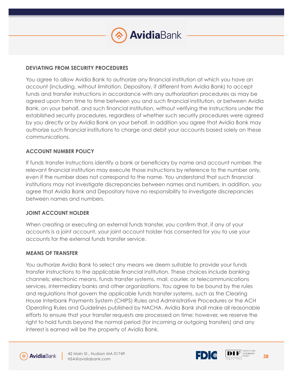

### **DEVIATING FROM SECURITY PROCEDURES**

You agree to allow Avidia Bank to authorize any financial institution at which you have an account (including, without limitation, Depository, if different from Avidia Bank) to accept funds and transfer instructions in accordance with any authorization procedures as may be agreed upon from time to time between you and such financial institution, or between Avidia Bank, on your behalf, and such financial institution, without verifying the instructions under the established security procedures, regardless of whether such security procedures were agreed by you directly or by Avidia Bank on your behalf. In addition you agree that Avidia Bank may authorize such financial institutions to charge and debit your accounts based solely on these communications.

### **ACCOUNT NUMBER POLICY**

If funds transfer instructions identify a bank or beneficiary by name and account number, the relevant financial institution may execute those instructions by reference to the number only, even if the number does not correspond to the name. You understand that such financial institutions may not investigate discrepancies between names and numbers. In addition, you agree that Avidia Bank and Depository have no responsibility to investigate discrepancies between names and numbers.

# **JOINT ACCOUNT HOLDER**

When creating or executing an external funds transfer, you confirm that, if any of your accounts is a joint account, your joint account holder has consented for you to use your accounts for the external funds transfer service.

### **MEANS OF TRANSFER**

You authorize Avidia Bank to select any means we deem suitable to provide your funds transfer instructions to the applicable financial institution. These choices include banking channels; electronic means, funds transfer systems, mail, courier, or telecommunications services, intermediary banks and other organizations. You agree to be bound by the rules and regulations that govern the applicable funds transfer systems, such as the Clearing House Interbank Payments System (CHIPS) Rules and Administrative Procedures or the ACH Operating Rules and Guidelines published by NACHA. Avidia Bank shall make all reasonable efforts to ensure that your transfer requests are processed on time; however, we reserve the right to hold funds beyond the normal period (for incoming or outgoing transfers) and any interest is earned will be the property of Avidia Bank.





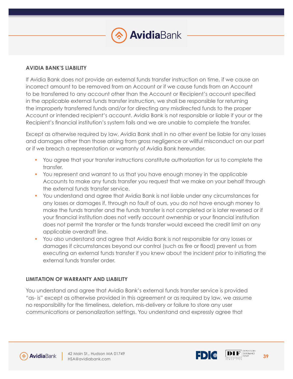### **AVIDIA BANK'S LIABILITY**

If Avidia Bank does not provide an external funds transfer instruction on time, if we cause an incorrect amount to be removed from an Account or if we cause funds from an Account to be transferred to any account other than the Account or Recipient's account specified in the applicable external funds transfer instruction, we shall be responsible for returning the improperly transferred funds and/or for directing any misdirected funds to the proper Account or intended recipient's account. Avidia Bank is not responsible or liable if your or the Recipient's financial institution's system fails and we are unable to complete the transfer.

Except as otherwise required by law, Avidia Bank shall in no other event be liable for any losses and damages other than those arising from gross negligence or willful misconduct on our part or if we breach a representation or warranty of Avidia Bank hereunder.

- You agree that your transfer instructions constitute authorization for us to complete the transfer.
- You represent and warrant to us that you have enough money in the applicable Accounts to make any funds transfer you request that we make on your behalf through the external funds transfer service.
- You understand and agree that Avidia Bank is not liable under any circumstances for any losses or damages if, through no fault of ours, you do not have enough money to make the funds transfer and the funds transfer is not completed or is later reversed or if your financial institution does not verify account ownership or your financial institution does not permit the transfer or the funds transfer would exceed the credit limit on any applicable overdraft line.
- You also understand and agree that Avidia Bank is not responsible for any losses or damages if circumstances beyond our control (such as fire or flood) prevent us from executing an external funds transfer if you knew about the incident prior to initiating the external funds transfer order.

### **LIMITATION OF WARRANTY AND LIABILITY**

You understand and agree that Avidia Bank's external funds transfer service is provided "as- is" except as otherwise provided in this agreement or as required by law, we assume no responsibility for the timeliness, deletion, mis-delivery or failure to store any user communications or personalization settings. You understand and expressly agree that





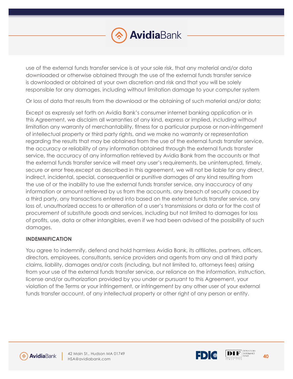

use of the external funds transfer service is at your sole risk, that any material and/or data downloaded or otherwise obtained through the use of the external funds transfer service is downloaded or obtained at your own discretion and risk and that you will be solely responsible for any damages, including without limitation damage to your computer system

Or loss of data that results from the download or the obtaining of such material and/or data;

Except as expressly set forth on Avidia Bank's consumer internet banking application or in this Agreement, we disclaim all warranties of any kind, express or implied, including without limitation any warranty of merchantability, fitness for a particular purpose or non-infringement of intellectual property or third party rights, and we make no warranty or representation regarding the results that may be obtained from the use of the external funds transfer service, the accuracy or reliability of any information obtained through the external funds transfer service, the accuracy of any information retrieved by Avidia Bank from the accounts or that the external funds transfer service will meet any user's requirements, be uninterrupted, timely, secure or error free,except as described in this agreement, we will not be liable for any direct, indirect, incidental, special, consequential or punitive damages of any kind resulting from the use of or the inability to use the external funds transfer service, any inaccuracy of any information or amount retrieved by us from the accounts, any breach of security caused by a third party, any transactions entered into based on the external funds transfer service, any loss of, unauthorized access to or alteration of a user's transmissions or data or for the cost of procurement of substitute goods and services, including but not limited to damages for loss of profits, use, data or other intangibles, even if we had been advised of the possibility of such damages.

### **INDEMNIFICATION**

You agree to indemnify, defend and hold harmless Avidia Bank, its affiliates, partners, officers, directors, employees, consultants, service providers and agents from any and all third party claims, liability, damages and/or costs (including, but not limited to, attorneys fees) arising from your use of the external funds transfer service, our reliance on the information, instruction, license and/or authorization provided by you under or pursuant to this Agreement, your violation of the Terms or your infringement, or infringement by any other user of your external funds transfer account, of any intellectual property or other right of any person or entity.